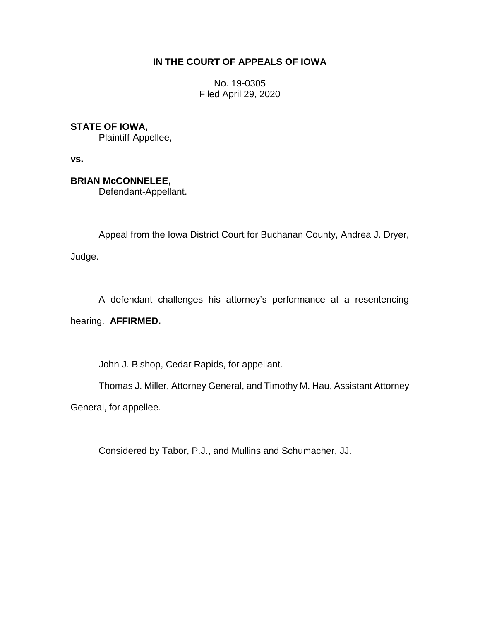# **IN THE COURT OF APPEALS OF IOWA**

No. 19-0305 Filed April 29, 2020

**STATE OF IOWA,**

Plaintiff-Appellee,

**vs.**

**BRIAN McCONNELEE,**

Defendant-Appellant.

Appeal from the Iowa District Court for Buchanan County, Andrea J. Dryer,

\_\_\_\_\_\_\_\_\_\_\_\_\_\_\_\_\_\_\_\_\_\_\_\_\_\_\_\_\_\_\_\_\_\_\_\_\_\_\_\_\_\_\_\_\_\_\_\_\_\_\_\_\_\_\_\_\_\_\_\_\_\_\_\_

Judge.

A defendant challenges his attorney's performance at a resentencing

hearing. **AFFIRMED.**

John J. Bishop, Cedar Rapids, for appellant.

Thomas J. Miller, Attorney General, and Timothy M. Hau, Assistant Attorney

General, for appellee.

Considered by Tabor, P.J., and Mullins and Schumacher, JJ.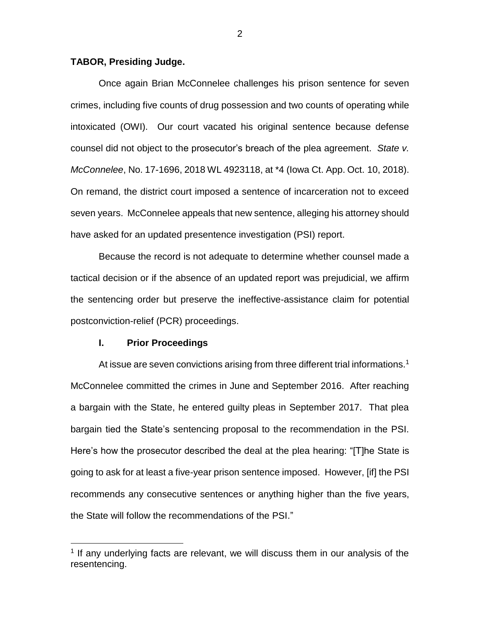# **TABOR, Presiding Judge.**

Once again Brian McConnelee challenges his prison sentence for seven crimes, including five counts of drug possession and two counts of operating while intoxicated (OWI). Our court vacated his original sentence because defense counsel did not object to the prosecutor's breach of the plea agreement. *State v. McConnelee*, No. 17-1696, 2018 WL 4923118, at \*4 (Iowa Ct. App. Oct. 10, 2018). On remand, the district court imposed a sentence of incarceration not to exceed seven years. McConnelee appeals that new sentence, alleging his attorney should have asked for an updated presentence investigation (PSI) report.

Because the record is not adequate to determine whether counsel made a tactical decision or if the absence of an updated report was prejudicial, we affirm the sentencing order but preserve the ineffective-assistance claim for potential postconviction-relief (PCR) proceedings.

#### **I. Prior Proceedings**

 $\overline{a}$ 

At issue are seven convictions arising from three different trial informations.<sup>1</sup> McConnelee committed the crimes in June and September 2016. After reaching a bargain with the State, he entered guilty pleas in September 2017. That plea bargain tied the State's sentencing proposal to the recommendation in the PSI. Here's how the prosecutor described the deal at the plea hearing: "[T]he State is going to ask for at least a five-year prison sentence imposed. However, [if] the PSI recommends any consecutive sentences or anything higher than the five years, the State will follow the recommendations of the PSI."

<sup>&</sup>lt;sup>1</sup> If any underlying facts are relevant, we will discuss them in our analysis of the resentencing.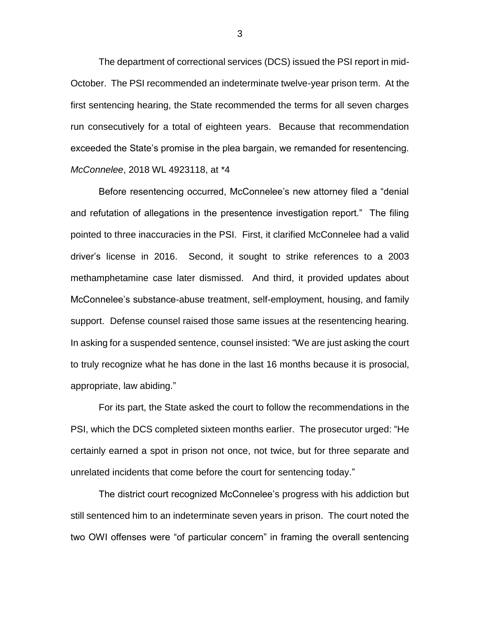The department of correctional services (DCS) issued the PSI report in mid-October. The PSI recommended an indeterminate twelve-year prison term. At the first sentencing hearing, the State recommended the terms for all seven charges run consecutively for a total of eighteen years. Because that recommendation exceeded the State's promise in the plea bargain, we remanded for resentencing. *McConnelee*, 2018 WL 4923118, at \*4

Before resentencing occurred, McConnelee's new attorney filed a "denial and refutation of allegations in the presentence investigation report." The filing pointed to three inaccuracies in the PSI. First, it clarified McConnelee had a valid driver's license in 2016. Second, it sought to strike references to a 2003 methamphetamine case later dismissed. And third, it provided updates about McConnelee's substance-abuse treatment, self-employment, housing, and family support. Defense counsel raised those same issues at the resentencing hearing. In asking for a suspended sentence, counsel insisted: "We are just asking the court to truly recognize what he has done in the last 16 months because it is prosocial, appropriate, law abiding."

For its part, the State asked the court to follow the recommendations in the PSI, which the DCS completed sixteen months earlier. The prosecutor urged: "He certainly earned a spot in prison not once, not twice, but for three separate and unrelated incidents that come before the court for sentencing today."

The district court recognized McConnelee's progress with his addiction but still sentenced him to an indeterminate seven years in prison. The court noted the two OWI offenses were "of particular concern" in framing the overall sentencing

3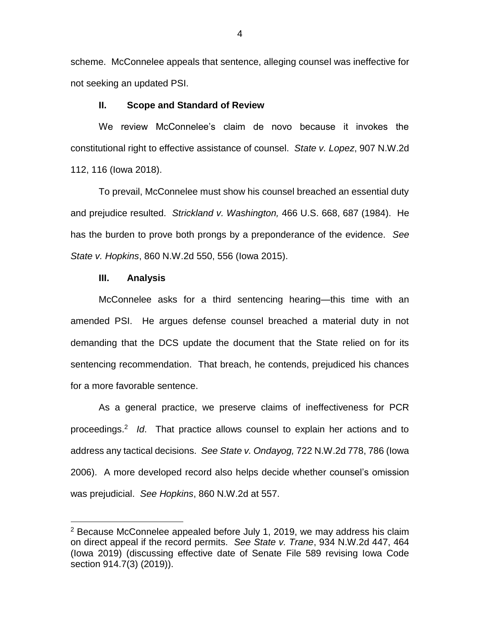scheme. McConnelee appeals that sentence, alleging counsel was ineffective for not seeking an updated PSI.

# **II. Scope and Standard of Review**

We review McConnelee's claim de novo because it invokes the constitutional right to effective assistance of counsel. *State v. Lopez*, 907 N.W.2d 112, 116 (Iowa 2018).

To prevail, McConnelee must show his counsel breached an essential duty and prejudice resulted. *Strickland v. Washington,* 466 U.S. 668, 687 (1984). He has the burden to prove both prongs by a preponderance of the evidence. *See State v. Hopkins*, 860 N.W.2d 550, 556 (Iowa 2015).

#### **III. Analysis**

 $\overline{a}$ 

McConnelee asks for a third sentencing hearing—this time with an amended PSI. He argues defense counsel breached a material duty in not demanding that the DCS update the document that the State relied on for its sentencing recommendation. That breach, he contends, prejudiced his chances for a more favorable sentence.

As a general practice, we preserve claims of ineffectiveness for PCR proceedings.<sup>2</sup> *Id*. That practice allows counsel to explain her actions and to address any tactical decisions. *See State v. Ondayog,* 722 N.W.2d 778, 786 (Iowa 2006). A more developed record also helps decide whether counsel's omission was prejudicial. *See Hopkins*, 860 N.W.2d at 557.

 $2$  Because McConnelee appealed before July 1, 2019, we may address his claim on direct appeal if the record permits. *See State v. Trane*, 934 N.W.2d 447, 464 (Iowa 2019) (discussing effective date of Senate File 589 revising Iowa Code section 914.7(3) (2019)).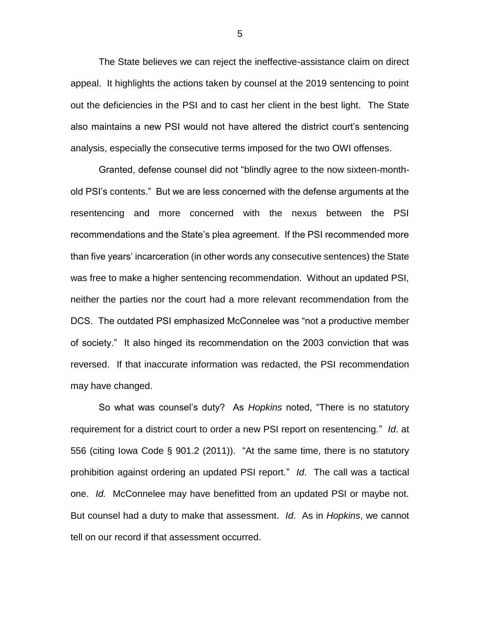The State believes we can reject the ineffective-assistance claim on direct appeal. It highlights the actions taken by counsel at the 2019 sentencing to point out the deficiencies in the PSI and to cast her client in the best light. The State also maintains a new PSI would not have altered the district court's sentencing analysis, especially the consecutive terms imposed for the two OWI offenses.

Granted, defense counsel did not "blindly agree to the now sixteen-monthold PSI's contents." But we are less concerned with the defense arguments at the resentencing and more concerned with the nexus between the PSI recommendations and the State's plea agreement. If the PSI recommended more than five years' incarceration (in other words any consecutive sentences) the State was free to make a higher sentencing recommendation. Without an updated PSI, neither the parties nor the court had a more relevant recommendation from the DCS. The outdated PSI emphasized McConnelee was "not a productive member of society." It also hinged its recommendation on the 2003 conviction that was reversed. If that inaccurate information was redacted, the PSI recommendation may have changed.

So what was counsel's duty? As *Hopkins* noted, "There is no statutory requirement for a district court to order a new PSI report on resentencing." *Id*. at 556 (citing Iowa Code § 901.2 (2011)). "At the same time, there is no statutory prohibition against ordering an updated PSI report." *Id*. The call was a tactical one. *Id.* McConnelee may have benefitted from an updated PSI or maybe not. But counsel had a duty to make that assessment. *Id*. As in *Hopkins*, we cannot tell on our record if that assessment occurred.

5